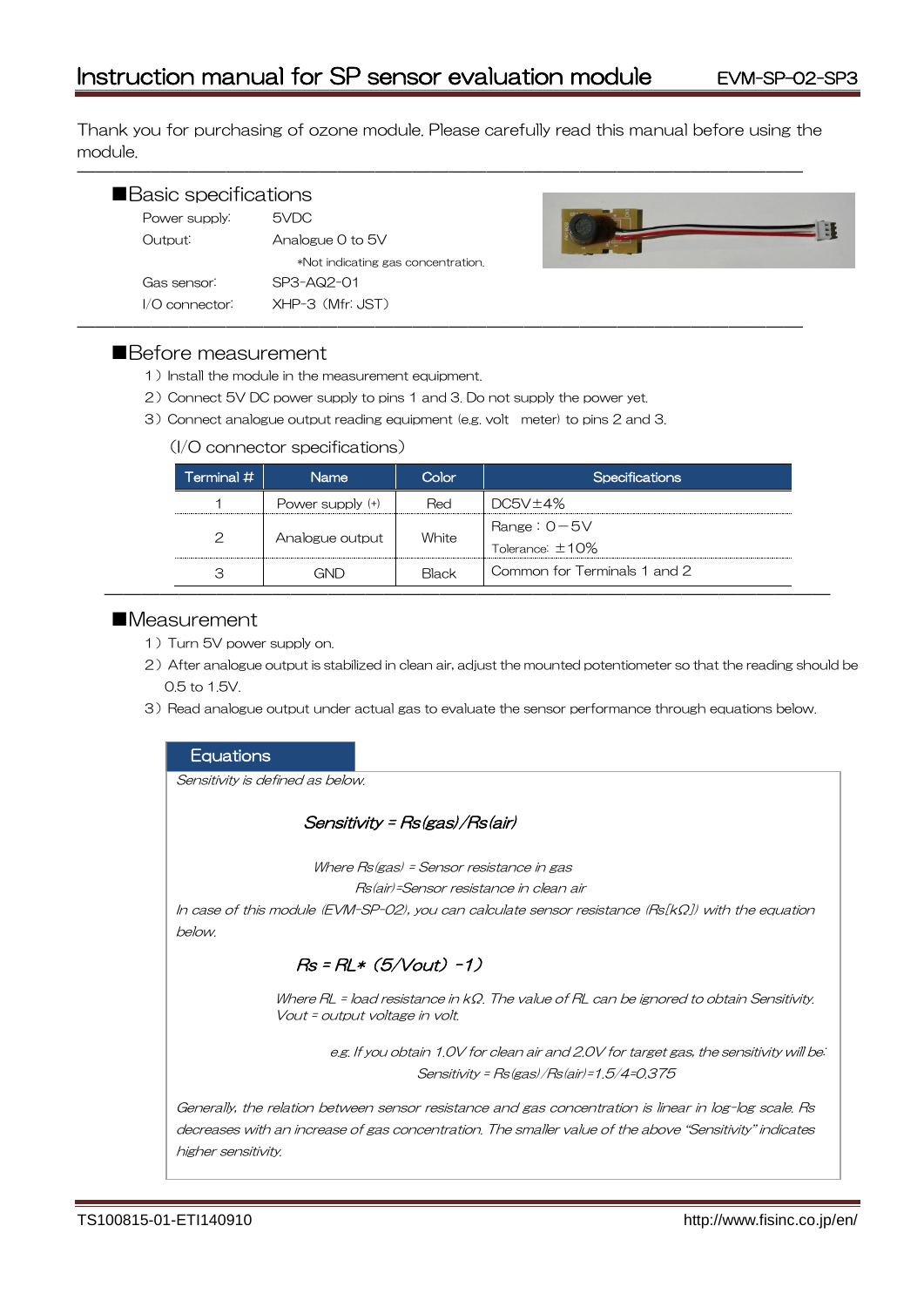Thank you for purchasing of ozone module. Please carefully read this manual before using the module.

―――――――――――――――――――――――――――――――――――――――

| Basic specifications |                                    |  |
|----------------------|------------------------------------|--|
| Power supply:        | 5VDC                               |  |
| Output:              | Analogue 0 to 5V                   |  |
|                      | *Not indicating gas concentration. |  |
| Gas sensor:          | SP3-AQ2-01                         |  |
| $1/O$ connector:     | XHP-3 (Mfr: JST)                   |  |



# ■Before measurement

- 1) Install the module in the measurement equipment.
- 2)Connect 5V DC power supply to pins 1 and 3. Do not supply the power yet.
- 3)Connect analogue output reading equipment (e.g. volt meter) to pins 2 and 3.

#### (I/O connector specifications)

| Terminal $\#$ | <b>Name</b>        | Color | <b>Specifications</b>                   |
|---------------|--------------------|-------|-----------------------------------------|
|               | Power supply $(+)$ | Red   | DC5V±4%                                 |
| $\mathcal{P}$ | Analogue output    | White | Range: $0 - 5V$<br>Tolerance: $\pm$ 10% |
| З             | GND                | Black | Common for Terminals 1 and 2            |

# ■Measurement

- 1) Turn 5V power supply on.
- 2) After analogue output is stabilized in clean air, adjust the mounted potentiometer so that the reading should be 0.5 to 1.5V.
- 3) Read analogue output under actual gas to evaluate the sensor performance through equations below.

### **Equations**

Sensitivity is defined as below.

Sensitivity = Rs(gas)/Rs(air)

Where Rs(gas) = Sensor resistance in gas

Rs(air)=Sensor resistance in clean air

In case of this module (EVM-SP-02), you can calculate sensor resistance (Rs[kΩ]) with the equation below.

# $Rs = RL * (5/Vout) -1)$

Where RL = load resistance in kΩ. The value of RL can be ignored to obtain Sensitivity. Vout = output voltage in volt.

> e.g. If you obtain 1.0V for clean air and 2.0V for target gas, the sensitivity will be: Sensitivity = Rs(gas)/Rs(air)=1.5/4=0.375

Generally, the relation between sensor resistance and gas concentration is linear in log-log scale. Rs decreases with an increase of gas concentration. The smaller value of the above "Sensitivity" indicates higher sensitivity.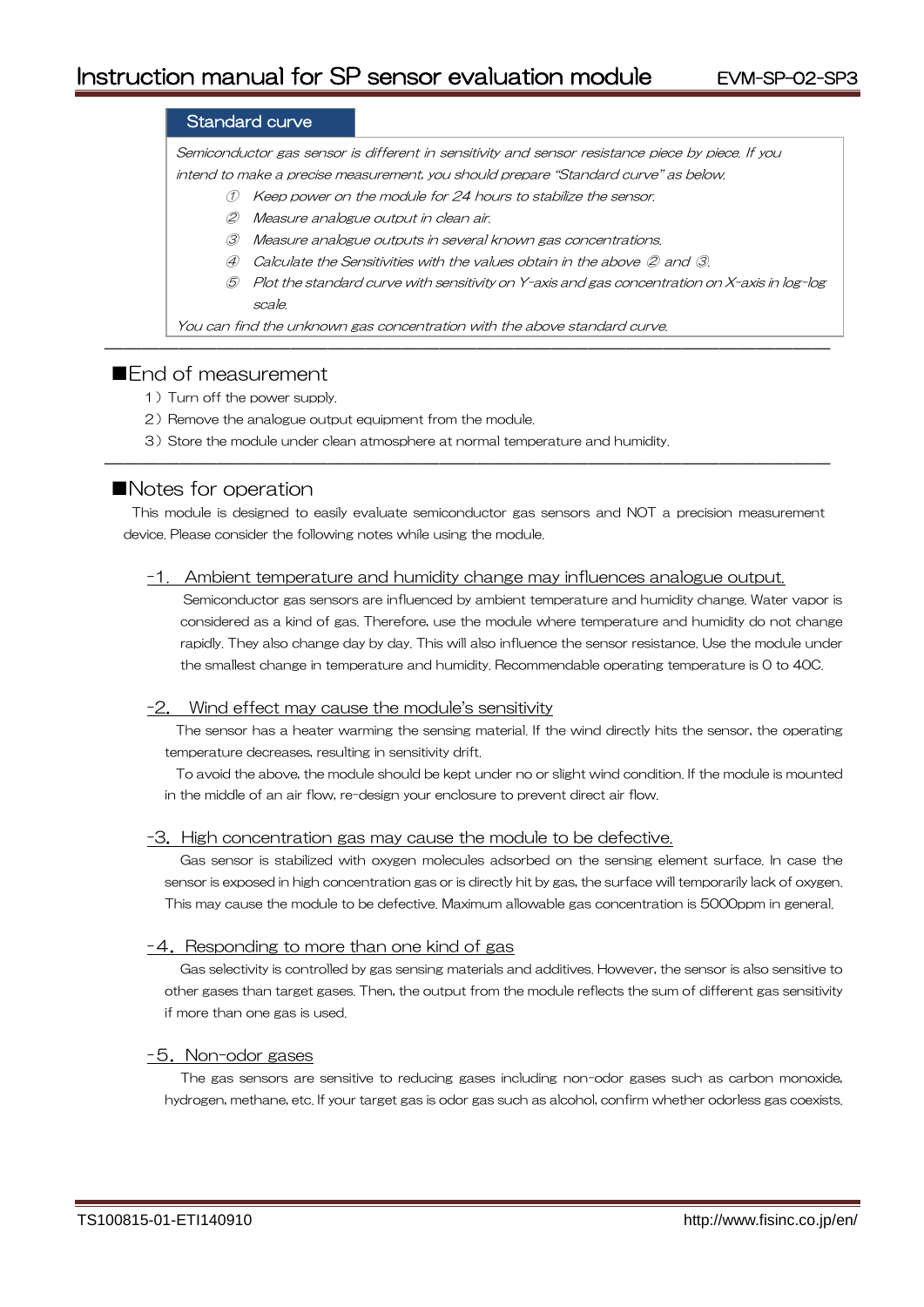# Standard curve

Semiconductor gas sensor is different in sensitivity and sensor resistance piece by piece. If you intend to make a precise measurement, you should prepare "Standard curve" as below.

- ① Keep power on the module for 24 hours to stabilize the sensor.
- ② Measure analogue output in clean air.
- ③ Measure analogue outputs in several known gas concentrations.
- ④ Calculate the Sensitivities with the values obtain in the above ② and ③.

―――――――――――――――――――――――――――――――――――――――

⑤ Plot the standard curve with sensitivity on Y-axis and gas concentration on X-axis in log-log scale.

You can find the unknown gas concentration with the above standard curve.

# ■**Fnd of measurement**

- 1) Turn off the power supply.
- 2) Remove the analogue output equipment from the module.
- 3)Store the module under clean atmosphere at normal temperature and humidity.

# ■Notes for operation

This module is designed to easily evaluate semiconductor gas sensors and NOT a precision measurement device. Please consider the following notes while using the module.

―――――――――――――――――――――――――――――――――――――――

#### -1. Ambient temperature and humidity change may influences analogue output.

Semiconductor gas sensors are influenced by ambient temperature and humidity change. Water vapor is considered as a kind of gas. Therefore, use the module where temperature and humidity do not change rapidly. They also change day by day. This will also influence the sensor resistance. Use the module under the smallest change in temperature and humidity. Recommendable operating temperature is 0 to 40C.

#### -2. Wind effect may cause the module's sensitivity

The sensor has a heater warming the sensing material. If the wind directly hits the sensor, the operating temperature decreases, resulting in sensitivity drift.

To avoid the above, the module should be kept under no or slight wind condition. If the module is mounted in the middle of an air flow, re-design your enclosure to prevent direct air flow.

#### -3.High concentration gas may cause the module to be defective.

Gas sensor is stabilized with oxygen molecules adsorbed on the sensing element surface. In case the sensor is exposed in high concentration gas or is directly hit by gas, the surface will temporarily lack of oxygen. This may cause the module to be defective. Maximum allowable gas concentration is 5000ppm in general.

#### -4. Responding to more than one kind of gas

Gas selectivity is controlled by gas sensing materials and additives. However, the sensor is also sensitive to other gases than target gases. Then, the output from the module reflects the sum of different gas sensitivity if more than one gas is used.

### -5.Non-odor gases

The gas sensors are sensitive to reducing gases including non-odor gases such as carbon monoxide, hydrogen, methane, etc. If your target gas is odor gas such as alcohol, confirm whether odorless gas coexists.